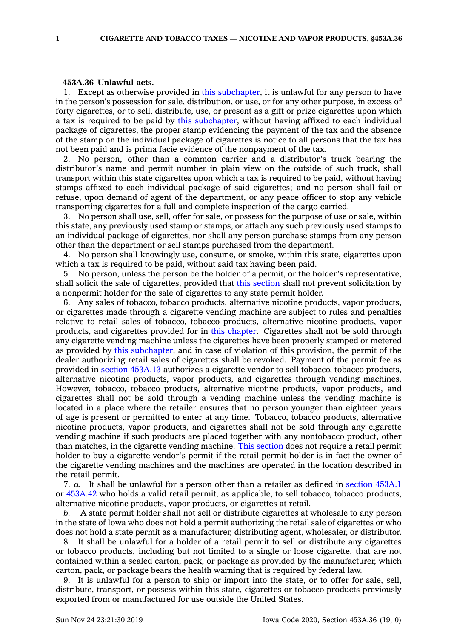## **453A.36 Unlawful acts.**

1. Except as otherwise provided in this [subchapter](https://www.legis.iowa.gov/docs/code//453A.pdf), it is unlawful for any person to have in the person's possession for sale, distribution, or use, or for any other purpose, in excess of forty cigarettes, or to sell, distribute, use, or present as <sup>a</sup> gift or prize cigarettes upon which <sup>a</sup> tax is required to be paid by this [subchapter](https://www.legis.iowa.gov/docs/code//453A.pdf), without having affixed to each individual package of cigarettes, the proper stamp evidencing the payment of the tax and the absence of the stamp on the individual package of cigarettes is notice to all persons that the tax has not been paid and is prima facie evidence of the nonpayment of the tax.

2. No person, other than <sup>a</sup> common carrier and <sup>a</sup> distributor's truck bearing the distributor's name and permit number in plain view on the outside of such truck, shall transport within this state cigarettes upon which <sup>a</sup> tax is required to be paid, without having stamps affixed to each individual package of said cigarettes; and no person shall fail or refuse, upon demand of agent of the department, or any peace officer to stop any vehicle transporting cigarettes for <sup>a</sup> full and complete inspection of the cargo carried.

3. No person shall use, sell, offer for sale, or possess for the purpose of use or sale, within this state, any previously used stamp or stamps, or attach any such previously used stamps to an individual package of cigarettes, nor shall any person purchase stamps from any person other than the department or sell stamps purchased from the department.

4. No person shall knowingly use, consume, or smoke, within this state, cigarettes upon which <sup>a</sup> tax is required to be paid, without said tax having been paid.

5. No person, unless the person be the holder of <sup>a</sup> permit, or the holder's representative, shall solicit the sale of cigarettes, provided that this [section](https://www.legis.iowa.gov/docs/code/453A.36.pdf) shall not prevent solicitation by <sup>a</sup> nonpermit holder for the sale of cigarettes to any state permit holder.

6. Any sales of tobacco, tobacco products, alternative nicotine products, vapor products, or cigarettes made through <sup>a</sup> cigarette vending machine are subject to rules and penalties relative to retail sales of tobacco, tobacco products, alternative nicotine products, vapor products, and cigarettes provided for in this [chapter](https://www.legis.iowa.gov/docs/code//453A.pdf). Cigarettes shall not be sold through any cigarette vending machine unless the cigarettes have been properly stamped or metered as provided by this [subchapter](https://www.legis.iowa.gov/docs/code//453A.pdf), and in case of violation of this provision, the permit of the dealer authorizing retail sales of cigarettes shall be revoked. Payment of the permit fee as provided in section [453A.13](https://www.legis.iowa.gov/docs/code/453A.13.pdf) authorizes <sup>a</sup> cigarette vendor to sell tobacco, tobacco products, alternative nicotine products, vapor products, and cigarettes through vending machines. However, tobacco, tobacco products, alternative nicotine products, vapor products, and cigarettes shall not be sold through <sup>a</sup> vending machine unless the vending machine is located in <sup>a</sup> place where the retailer ensures that no person younger than eighteen years of age is present or permitted to enter at any time. Tobacco, tobacco products, alternative nicotine products, vapor products, and cigarettes shall not be sold through any cigarette vending machine if such products are placed together with any nontobacco product, other than matches, in the cigarette vending machine. This [section](https://www.legis.iowa.gov/docs/code/453A.36.pdf) does not require <sup>a</sup> retail permit holder to buy <sup>a</sup> cigarette vendor's permit if the retail permit holder is in fact the owner of the cigarette vending machines and the machines are operated in the location described in the retail permit.

7. *a.* It shall be unlawful for <sup>a</sup> person other than <sup>a</sup> retailer as defined in [section](https://www.legis.iowa.gov/docs/code/453A.1.pdf) 453A.1 or [453A.42](https://www.legis.iowa.gov/docs/code/453A.42.pdf) who holds <sup>a</sup> valid retail permit, as applicable, to sell tobacco, tobacco products, alternative nicotine products, vapor products, or cigarettes at retail.

*b.* A state permit holder shall not sell or distribute cigarettes at wholesale to any person in the state of Iowa who does not hold <sup>a</sup> permit authorizing the retail sale of cigarettes or who does not hold <sup>a</sup> state permit as <sup>a</sup> manufacturer, distributing agent, wholesaler, or distributor.

8. It shall be unlawful for <sup>a</sup> holder of <sup>a</sup> retail permit to sell or distribute any cigarettes or tobacco products, including but not limited to <sup>a</sup> single or loose cigarette, that are not contained within <sup>a</sup> sealed carton, pack, or package as provided by the manufacturer, which carton, pack, or package bears the health warning that is required by federal law.

9. It is unlawful for <sup>a</sup> person to ship or import into the state, or to offer for sale, sell, distribute, transport, or possess within this state, cigarettes or tobacco products previously exported from or manufactured for use outside the United States.